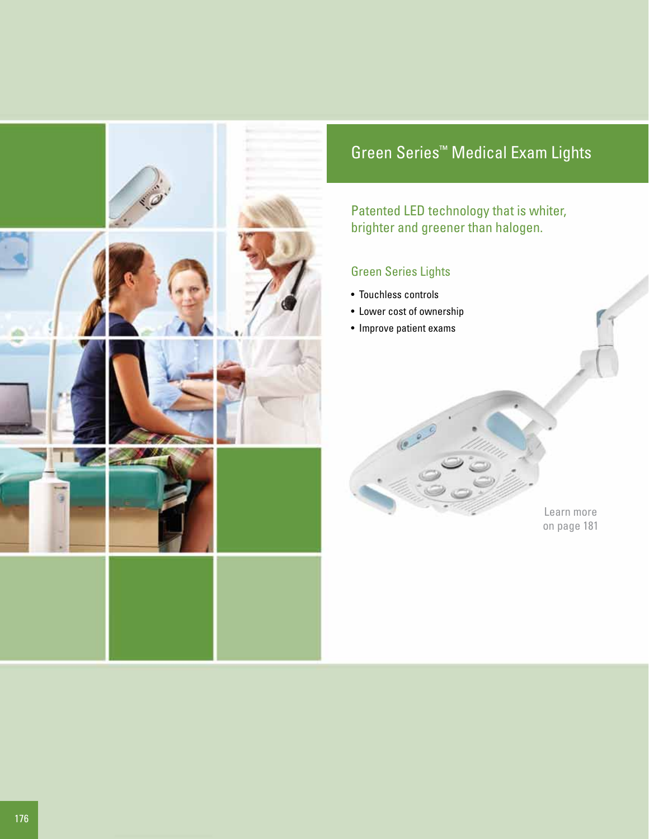

# Green Series™ Medical Exam Lights

Patented LED technology that is whiter, brighter and greener than halogen.

### Green Series Lights

- Touchless controls
- Lower cost of ownership
- Improve patient exams

Learn more on page 181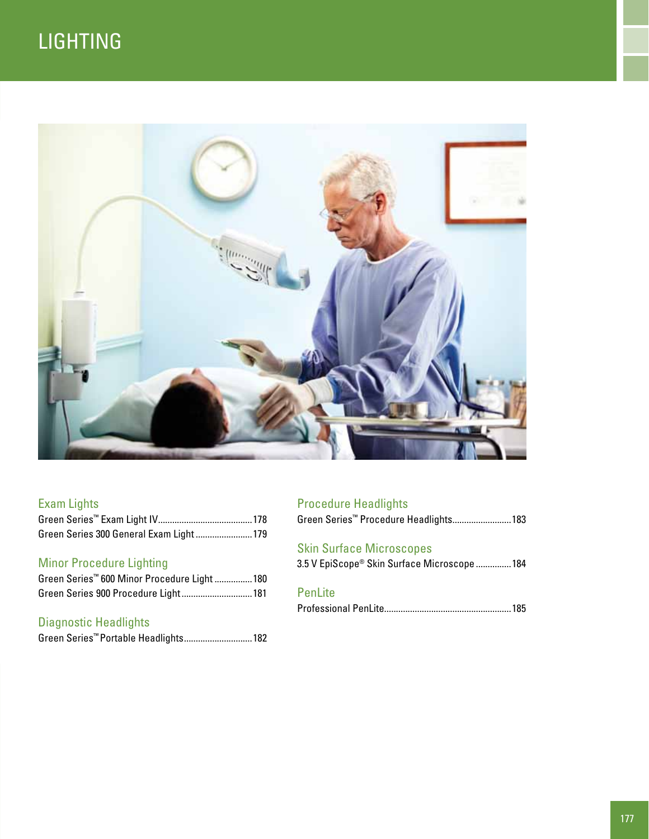# **LIGHTING**



### Exam Lights

| Green Series 300 General Exam Light 179 |  |
|-----------------------------------------|--|

### Minor Procedure Lighting

| Green Series <sup>™</sup> 600 Minor Procedure Light 180 |  |
|---------------------------------------------------------|--|
| Green Series 900 Procedure Light 181                    |  |

### Diagnostic Headlights

Green Series™ Portable Headlights.............................182

### Procedure Headlights

|  | Green Series™ Procedure Headlights 183 |  |
|--|----------------------------------------|--|
|  |                                        |  |

### Skin Surface Microscopes

|  |  |  | 3.5 V EpiScope® Skin Surface Microscope 184 |  |
|--|--|--|---------------------------------------------|--|
|  |  |  |                                             |  |

### PenLite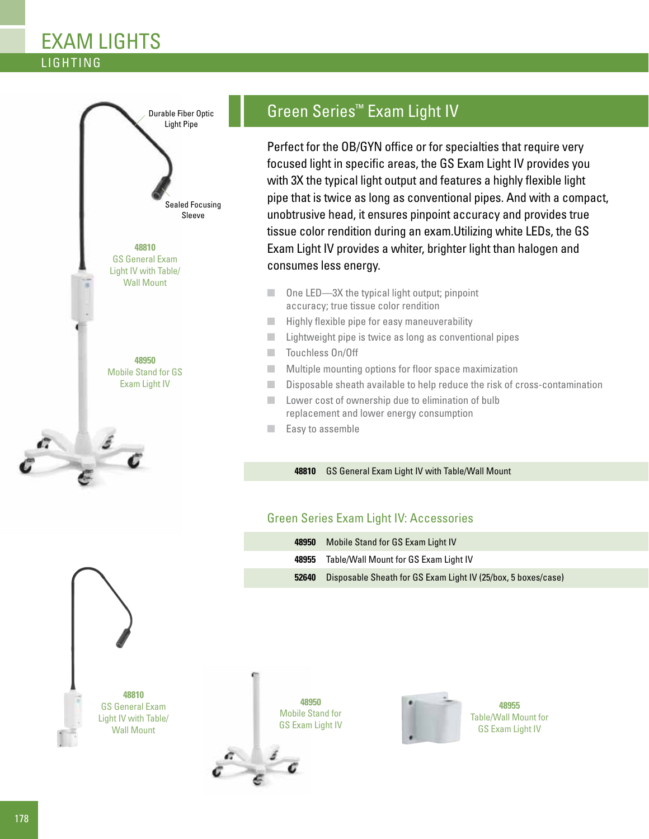## **LIGHTING** Exam Lights



## Green Series™ Exam Light IV

Perfect for the OB/GYN office or for specialties that require very focused light in specific areas, the GS Exam Light IV provides you with 3X the typical light output and features a highly flexible light pipe that is twice as long as conventional pipes. And with a compact, unobtrusive head, it ensures pinpoint accuracy and provides true tissue color rendition during an exam.Utilizing white LEDs, the GS Exam Light IV provides a whiter, brighter light than halogen and consumes less energy.

- One LED—3X the typical light output; pinpoint accuracy; true tissue color rendition
- Highly flexible pipe for easy maneuverability
- Lightweight pipe is twice as long as conventional pipes
- Touchless On/Off
- Multiple mounting options for floor space maximization
- Disposable sheath available to help reduce the risk of cross-contamination
- Lower cost of ownership due to elimination of bulb replacement and lower energy consumption
- Easy to assemble

#### **48810** GS General Exam Light IV with Table/Wall Mount

### Green Series Exam Light IV: Accessories

| 48950 | Mobile Stand for GS Exam Light IV                             |
|-------|---------------------------------------------------------------|
| 48955 | Table/Wall Mount for GS Exam Light IV                         |
| 52640 | Disposable Sheath for GS Exam Light IV (25/box, 5 boxes/case) |



**48950**  Mobile Stand for GS Exam Light IV





**48955**  Table/Wall Mount for GS Exam Light IV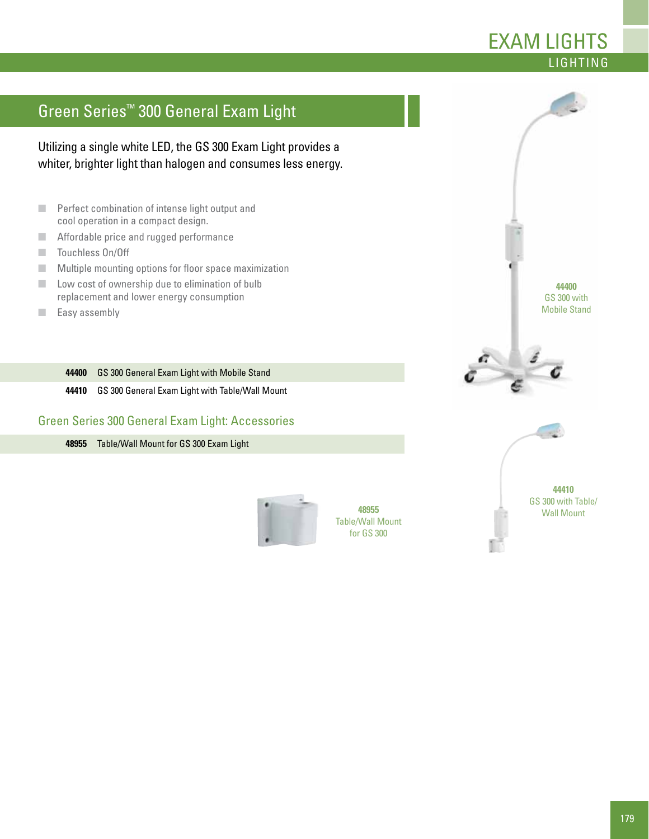## Green Series™ 300 General Exam Light

Utilizing a single white LED, the GS 300 Exam Light provides a whiter, brighter light than halogen and consumes less energy.

- Perfect combination of intense light output and cool operation in a compact design.
- Affordable price and rugged performance
- Touchless On/Off
- Multiple mounting options for floor space maximization
- Low cost of ownership due to elimination of bulb replacement and lower energy consumption
- Easy assembly

**44400** GS 300 General Exam Light with Mobile Stand

**44410** GS 300 General Exam Light with Table/Wall Mount

#### Green Series 300 General Exam Light: Accessories

**48955** Table/Wall Mount for GS 300 Exam Light



Table/Wall Mount for GS 300

**44400**  GS 300 with Mobile Stand

**LIGHTING** 

Exam Lights



**44410**  GS 300 with Table/ Wall Mount **48955**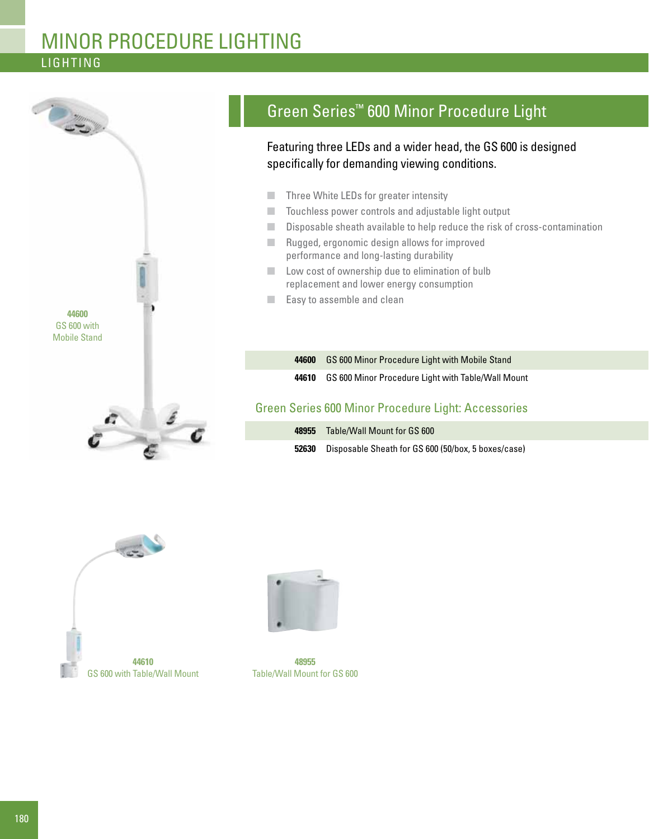## **LIGHTING** Minor Procedure lighting



# Green Series™ 600 Minor Procedure Light

Featuring three LEDs and a wider head, the GS 600 is designed specifically for demanding viewing conditions.

- Three White LEDs for greater intensity
- Touchless power controls and adjustable light output
- Disposable sheath available to help reduce the risk of cross-contamination
- Rugged, ergonomic design allows for improved performance and long-lasting durability
- Low cost of ownership due to elimination of bulb replacement and lower energy consumption
- Easy to assemble and clean

| 44600 | <b>GS 600 Minor Procedure Light with Mobile Stand</b> |
|-------|-------------------------------------------------------|
| 44610 | GS 600 Minor Procedure Light with Table/Wall Mount    |

#### Green Series 600 Minor Procedure Light: Accessories

| 48955 | Table/Wall Mount for GS 600                         |
|-------|-----------------------------------------------------|
| 52630 | Disposable Sheath for GS 600 (50/box, 5 boxes/case) |





**48955**  Table/Wall Mount for GS 600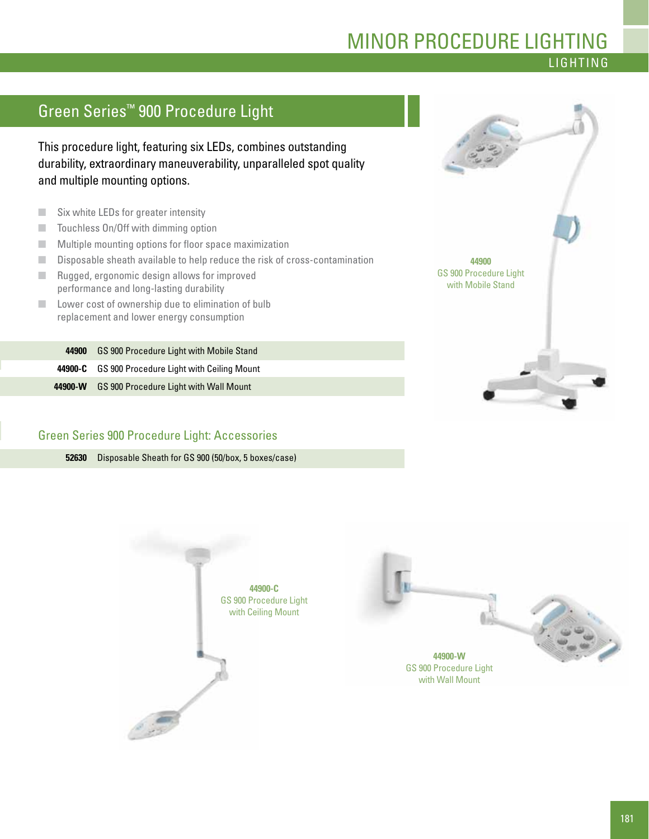### **LIGHTING** Minor Procedure Lighting

## Green Series™ 900 Procedure Light

This procedure light, featuring six LEDs, combines outstanding durability, extraordinary maneuverability, unparalleled spot quality and multiple mounting options.

- Six white LEDs for greater intensity
- Touchless On/Off with dimming option
- Multiple mounting options for floor space maximization
- Disposable sheath available to help reduce the risk of cross-contamination
- Rugged, ergonomic design allows for improved performance and long-lasting durability
- Lower cost of ownership due to elimination of bulb replacement and lower energy consumption

**44900** GS 900 Procedure Light with Mobile Stand **44900-C** GS 900 Procedure Light with Ceiling Mount **44900-W** GS 900 Procedure Light with Wall Mount



#### Green Series 900 Procedure Light: Accessories

**52630** Disposable Sheath for GS 900 (50/box, 5 boxes/case)

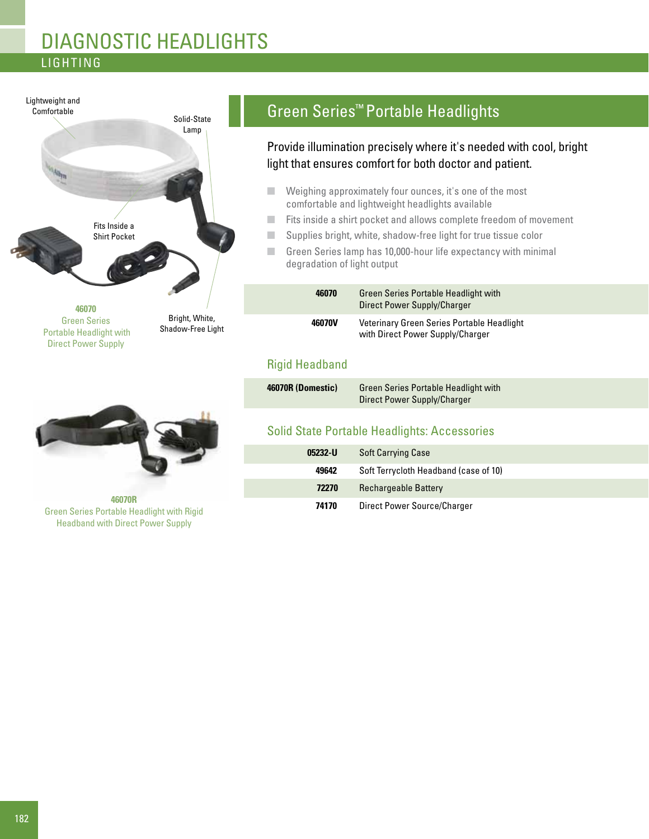## Lighting diagnostic headlights



## Green Series™ Portable Headlights

Provide illumination precisely where it's needed with cool, bright light that ensures comfort for both doctor and patient.

- Weighing approximately four ounces, it's one of the most comfortable and lightweight headlights available
- Fits inside a shirt pocket and allows complete freedom of movement
- Supplies bright, white, shadow-free light for true tissue color
- Green Series lamp has 10,000-hour life expectancy with minimal degradation of light output

| 46070  | <b>Green Series Portable Headlight with</b><br>Direct Power Supply/Charger     |  |
|--------|--------------------------------------------------------------------------------|--|
| 46070V | Veterinary Green Series Portable Headlight<br>with Direct Power Supply/Charger |  |

### Rigid Headband

| 46070R (Domestic) | <b>Green Series Portable Headlight with</b> |
|-------------------|---------------------------------------------|
|                   | Direct Power Supply/Charger                 |

### Solid State Portable Headlights: Accessories

|                                                  | 05232-U | <b>Soft Carrying Case</b>             |
|--------------------------------------------------|---------|---------------------------------------|
|                                                  | 49642   | Soft Terrycloth Headband (case of 10) |
|                                                  | 72270   | <b>Rechargeable Battery</b>           |
| 46070R<br>المنمنتا والخنب بالمتالة ومطالحا وامام | 74170   | Direct Power Source/Charger           |

Green Series Portable Headlight with Rigid Headband with Direct Power Supply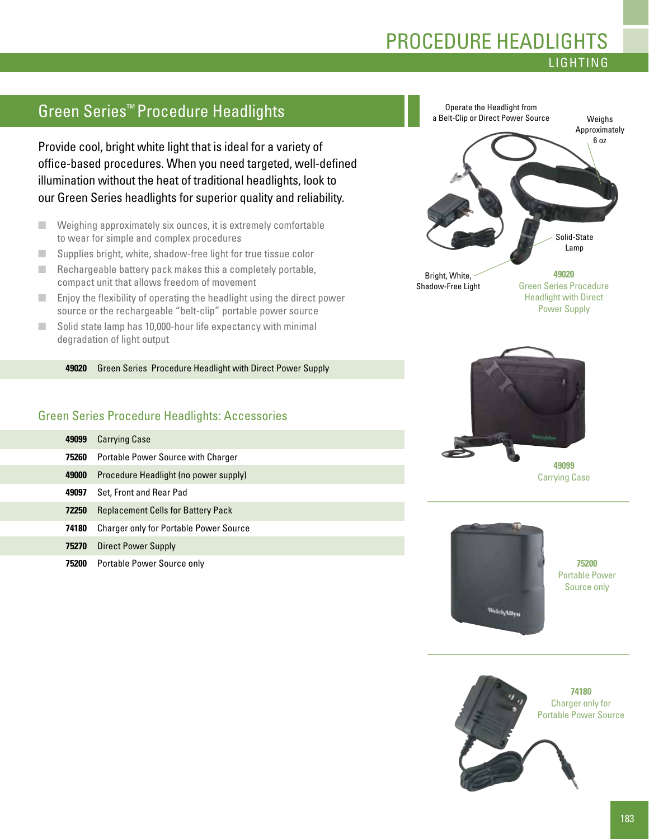### **LIGHTING** procedure Headlights

## Green Series™ Procedure Headlights

Provide cool, bright white light that is ideal for a variety of office-based procedures. When you need targeted, well-defined illumination without the heat of traditional headlights, look to our Green Series headlights for superior quality and reliability.

- Weighing approximately six ounces, it is extremely comfortable to wear for simple and complex procedures
- Supplies bright, white, shadow-free light for true tissue color
- $\blacksquare$  Rechargeable battery pack makes this a completely portable, compact unit that allows freedom of movement
- Enjoy the flexibility of operating the headlight using the direct power source or the rechargeable "belt-clip" portable power source
- Solid state lamp has 10,000-hour life expectancy with minimal degradation of light output

**49020** Green Series Procedure Headlight with Direct Power Supply

#### Green Series Procedure Headlights: Accessories

| 49099 | <b>Carrying Case</b>                          |
|-------|-----------------------------------------------|
| 75260 | <b>Portable Power Source with Charger</b>     |
| 49000 | Procedure Headlight (no power supply)         |
| 49097 | Set, Front and Rear Pad                       |
| 72250 | <b>Replacement Cells for Battery Pack</b>     |
| 74180 | <b>Charger only for Portable Power Source</b> |
| 75270 | Direct Power Supply                           |
| 75200 | Portable Power Source only                    |





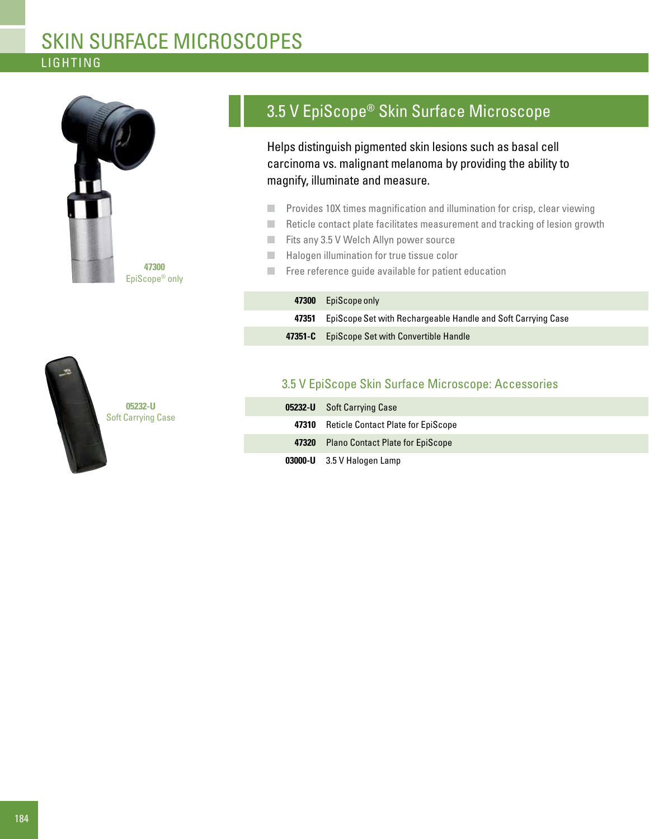## **LIGHTING** skin surface microscopes



## 3.5 V EpiScope® Skin Surface Microscope

Helps distinguish pigmented skin lesions such as basal cell carcinoma vs. malignant melanoma by providing the ability to magnify, illuminate and measure.

- Provides 10X times magnification and illumination for crisp, clear viewing
- Reticle contact plate facilitates measurement and tracking of lesion growth
- Fits any 3.5 V Welch Allyn power source
- Halogen illumination for true tissue color
- Free reference guide available for patient education

| 47300 EpiScope only                                                |
|--------------------------------------------------------------------|
| 47351 EpiScope Set with Rechargeable Handle and Soft Carrying Case |
| <b>47351-C</b> EpiScope Set with Convertible Handle                |



### 3.5 V EpiScope Skin Surface Microscope: Accessories

| <b>05232-U</b> Soft Carrying Case               |
|-------------------------------------------------|
| <b>47310</b> Reticle Contact Plate for EpiScope |
| 47320 Plano Contact Plate for EpiScope          |
| $03000 - U$ 3.5 V Halogen Lamp                  |